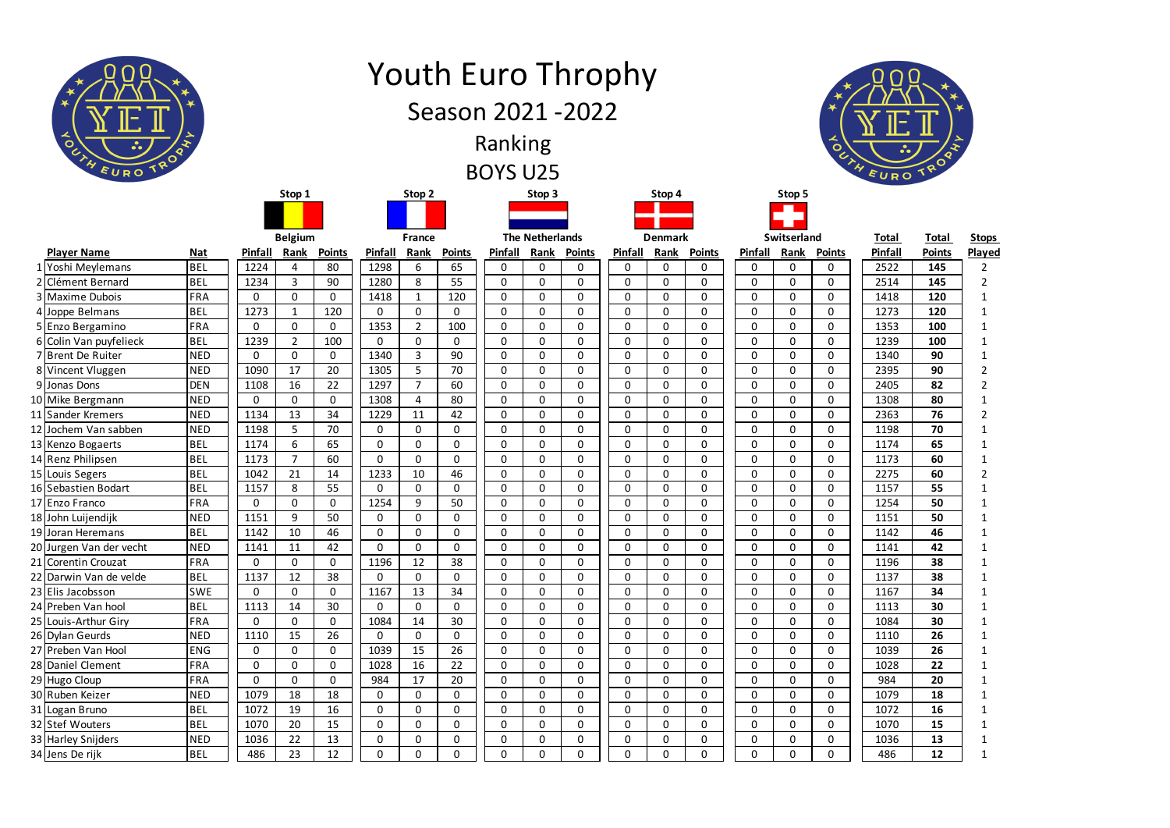|        | ᆺ<br>$\circ$<br>EURO TROAT             | <b>Youth Euro Throphy</b><br>Season 2021 - 2022<br>Ranking<br><b>BOYS U25</b> |              |                         |               |                            |                              |               |                            |                  |                            |  |                |                |                  |                             | $\bullet$<br>EURO |               |               |                         |               |                |
|--------|----------------------------------------|-------------------------------------------------------------------------------|--------------|-------------------------|---------------|----------------------------|------------------------------|---------------|----------------------------|------------------|----------------------------|--|----------------|----------------|------------------|-----------------------------|-------------------|---------------|---------------|-------------------------|---------------|----------------|
| Stop 1 |                                        |                                                                               |              |                         |               | Stop 2                     |                              |               |                            |                  | Stop 3                     |  |                | Stop 4         |                  |                             |                   | Stop 5        |               |                         |               |                |
|        |                                        |                                                                               |              |                         |               |                            |                              |               |                            |                  |                            |  |                |                |                  |                             |                   |               |               |                         |               |                |
|        |                                        |                                                                               |              | <b>Belgium</b>          |               | France                     |                              |               | <b>The Netherlands</b>     |                  |                            |  | <b>Denmark</b> |                |                  |                             | Switserland       |               |               |                         | <b>Total</b>  | <b>Stops</b>   |
|        | <b>Player Name</b>                     | <b>Nat</b>                                                                    | Pinfall      | Rank                    | <b>Points</b> | Pinfall                    | Rank                         | <b>Points</b> | Pinfall                    | Rank             | <b>Points</b>              |  | Pinfall        | Rank           | <b>Points</b>    | Pinfall                     |                   | Rank          | <b>Points</b> | <b>Total</b><br>Pinfall | <b>Points</b> | Played         |
|        | 1 Yoshi Meylemans                      | <b>BEL</b>                                                                    | 1224         | 4                       | 80            | 1298                       | 6                            | 65            | 0                          | $\mathbf{0}$     | 0                          |  | 0              | 0              | 0                | $\mathbf{0}$                |                   | 0             | 0             | 2522                    | 145           | 2              |
|        | 2 Clément Bernard                      | <b>BEL</b>                                                                    | 1234         | $\overline{3}$          | 90            | 1280                       | 8                            | 55            | $\mathbf 0$                | $\mathbf 0$      | $\mathbf 0$                |  | $\mathbf 0$    | 0              | $\mathbf 0$      | 0                           |                   | $\mathbf 0$   | 0             | 2514                    | 145           | $\overline{2}$ |
|        | 3 Maxime Dubois                        | <b>FRA</b>                                                                    | $\mathbf 0$  | $\mathbf 0$             | $\mathbf 0$   | 1418                       | 1                            | 120           | $\mathbf 0$                | $\mathbf 0$      | $\mathbf 0$                |  | 0              | 0              | 0                | 0                           |                   | $\mathbf 0$   | $\mathbf 0$   | 1418                    | 120           |                |
|        | 4 Joppe Belmans                        | <b>BEL</b>                                                                    | 1273         | $\mathbf{1}$            | 120           | $\mathbf 0$                | $\mathbf{0}$                 | 0             | $\mathbf 0$                | $\mathbf 0$      | $\mathbf 0$                |  | $\mathbf{0}$   | 0              | $\mathbf 0$      | $\mathbf{0}$                |                   | $\Omega$      | 0             | 1273                    | 120           | 1              |
|        | 5 Enzo Bergamino                       | FRA                                                                           | $\mathbf 0$  | $\mathbf 0$             | $\mathbf 0$   | 1353                       | $\overline{2}$               | 100           | $\mathbf 0$                | 0                | $\mathbf 0$                |  | 0              | 0              | 0                | 0                           |                   | 0             | 0             | 1353                    | 100           |                |
|        | 6 Colin Van puyfelieck                 | <b>BEL</b>                                                                    | 1239         | $\overline{2}$          | 100           | $\mathbf 0$                | $\mathbf{0}$                 | 0             | $\mathbf 0$                | $\mathbf 0$      | $\mathbf 0$                |  | $\mathbf 0$    | $\mathbf 0$    | $\mathbf 0$      | $\mathbf{0}$                |                   | 0             | 0             | 1239                    | 100           |                |
|        | 7 Brent De Ruiter                      | <b>NED</b>                                                                    | $\mathbf 0$  | $\mathbf 0$             | $\mathbf 0$   | 1340                       | 3                            | 90            | $\mathbf 0$                | $\mathbf 0$      | $\mathbf 0$                |  | 0              | 0              | 0                | 0                           |                   | $\mathbf 0$   | $\mathbf 0$   | 1340                    | 90            |                |
|        | 8 Vincent Vluggen                      | <b>NED</b>                                                                    | 1090         | 17                      | 20            | 1305                       | 5                            | 70            | $\mathbf 0$                | 0                | $\mathbf 0$                |  | $\mathbf{0}$   | $\mathbf 0$    | $\mathbf 0$      | $\mathbf{0}$                |                   | $\Omega$      | 0             | 2395                    | 90            | $\overline{2}$ |
|        | 9 Jonas Dons                           | <b>DEN</b>                                                                    | 1108         | 16                      | 22            | 1297                       |                              | 60            | $\mathbf 0$                | 0                | $\mathbf 0$                |  | 0              | 0              | 0                | $\mathbf{0}$                |                   | 0             | 0             | 2405                    | 82            | 2              |
|        | 10 Mike Bergmann                       | <b>NED</b>                                                                    | $\mathbf{0}$ | $\mathbf 0$             | $\mathbf 0$   | 1308                       | 4                            | 80            | $\mathbf 0$                | 0                | $\mathbf 0$                |  | $\mathbf 0$    | 0              | $\mathbf 0$      | $\mathbf 0$                 |                   | 0             | 0             | 1308                    | 80            |                |
|        | 11 Sander Kremers                      | <b>NED</b>                                                                    | 1134         | 13                      | 34            | 1229                       | 11                           | 42            | $\mathbf 0$                | $\mathbf 0$      | $\mathbf 0$                |  | 0              | 0              | 0                | 0                           |                   | $\mathbf 0$   | 0             | 2363                    | 76            | $\overline{2}$ |
|        | 12 Jochem Van sabben                   | <b>NED</b>                                                                    | 1198         | 5                       | 70            | $\mathbf 0$                | $\mathbf{0}$                 | 0             | $\mathbf 0$                | $\mathbf 0$      | $\mathbf 0$                |  | $\mathbf 0$    | $\mathbf 0$    | $\mathbf 0$      | $\mathbf{0}$                |                   | $\Omega$      | 0             | 1198                    | 70            |                |
|        | 13 Kenzo Bogaerts<br>14 Renz Philipsen | <b>BEL</b><br><b>BEL</b>                                                      | 1174<br>1173 | 6<br>$\overline{7}$     | 65<br>60      | $\mathbf 0$<br>$\mathbf 0$ | $\mathbf{0}$<br>$\mathbf{0}$ | 0<br>0        | $\mathbf 0$<br>$\mathbf 0$ | 0<br>$\mathbf 0$ | $\mathbf 0$<br>$\mathbf 0$ |  | 0<br>0         | 0<br>0         | 0<br>$\mathbf 0$ | $\mathbf{0}$<br>$\mathbf 0$ |                   | 0<br>$\Omega$ | 0<br>0        | 1174<br>1173            | 65<br>60      |                |
|        | 15 Louis Segers                        | <b>BEL</b>                                                                    | 1042         | 21                      | 14            | 1233                       | 10                           | 46            | $\mathbf 0$                | 0                | 0                          |  | 0              | 0              | 0                | 0                           |                   | 0             | 0             | 2275                    | 60            | $\overline{2}$ |
|        | 16 Sebastien Bodart                    | <b>BEL</b>                                                                    | 1157         | $\circ$                 | 55            | $\mathbf 0$                | 0                            | 0             | $\pmb{0}$                  | $\Omega$         | $\pmb{0}$                  |  | $\pmb{0}$      | 0              | 0                | 0                           |                   | $\Omega$      | $\Omega$      | 1157                    | 55            |                |
|        | 17 Enzo Franco                         | FRA                                                                           | $\mathbf 0$  | $\circ$<br>$\mathbf{0}$ | $\mathbf 0$   | 1254                       | 9                            | 50            | $\mathbf 0$                | U<br>$\mathbf 0$ | $\mathbf 0$                |  | $\mathbf{0}$   | 0              | $\mathbf{0}$     | 0                           |                   | 0             | U<br>0        | 1254                    | 50            | 1              |
|        | 18 John Luijendijk                     | <b>NED</b>                                                                    | 1151         | 9                       | 50            | $\mathbf 0$                | $\mathbf{0}$                 | $\mathbf{0}$  | $\mathbf 0$                | $\mathbf 0$      | $\mathbf 0$                |  | $\mathbf{0}$   | $\overline{0}$ | $\mathbf{0}$     | $\mathbf 0$                 |                   | $\Omega$      | $\mathbf{0}$  | 1151                    | 50            | 1              |
|        | 19 Joran Heremans                      | <b>BEL</b>                                                                    | 1142         | 10                      | 46            | $\mathbf{0}$               | 0                            | $\mathbf 0$   | $\mathbf 0$                | $\mathbf 0$      | 0                          |  | 0              | 0              | $\mathbf 0$      | 0                           |                   | 0             | 0             | 1142                    | 46            |                |
|        | 20 Jurgen Van der vecht                | <b>NED</b>                                                                    | 1141         | 11                      | 42            | $\mathbf{0}$               | $\mathbf{0}$                 | $\mathbf{0}$  | $\mathbf 0$                | $\mathbf 0$      | $\mathbf 0$                |  | 0              | $\overline{0}$ | $\mathbf 0$      | $\mathbf 0$                 |                   | 0             | $\mathbf 0$   | 1141                    | 42            |                |
|        | 21 Corentin Crouzat                    | FRA                                                                           | 0            | $\mathbf 0$             | $\mathbf 0$   | 1196                       | 12                           | 38            | $\mathbf 0$                | $\mathbf 0$      | $\mathbf 0$                |  | 0              | 0              | $\mathbf 0$      | 0                           |                   | 0             | 0             | 1196                    | 38            | 1              |
|        | 22 Darwin Van de velde                 | <b>BEL</b>                                                                    | 1137         | 12                      | 38            | $\mathbf{0}$               | $\mathbf 0$                  | $\mathbf 0$   | $\mathbf 0$                | $\mathbf 0$      | $\mathbf 0$                |  | $\mathbf{0}$   | $\overline{0}$ | $\mathbf{0}$     | $\mathbf 0$                 |                   | $\Omega$      | $\mathbf{0}$  | 1137                    | 38            | 1              |
|        | 23 Elis Jacobsson                      | <b>SWE</b>                                                                    | $\mathbf 0$  | $\mathbf 0$             | $\mathbf 0$   | 1167                       | 13                           | 34            | $\mathbf 0$                | $\mathbf 0$      | 0                          |  | 0              | 0              | $\mathbf 0$      | 0                           |                   | 0             | 0             | 1167                    | 34            |                |
|        | 24 Preben Van hool                     | <b>BEL</b>                                                                    | 1113         | 14                      | 30            | $\mathbf 0$                | $\mathbf 0$                  | $\mathbf 0$   | $\mathbf 0$                | $\mathbf 0$      | $\mathbf 0$                |  | 0              | $\overline{0}$ | $\mathbf 0$      | $\mathbf 0$                 |                   | 0             | $\mathbf 0$   | 1113                    | 30            |                |
|        | 25 Louis-Arthur Giry                   | FRA                                                                           | $\mathbf 0$  | $\mathbf 0$             | $\mathbf 0$   | 1084                       | 14                           | 30            | $\mathbf 0$                | $\mathbf 0$      | $\mathbf 0$                |  | 0              | 0              | $\mathbf 0$      | 0                           |                   | 0             | 0             | 1084                    | 30            |                |
|        | 26 Dylan Geurds                        | <b>NED</b>                                                                    | 1110         | 15                      | 26            | $\mathbf 0$                | $\mathbf 0$                  | $\mathbf 0$   | $\mathbf 0$                | $\mathbf 0$      | $\mathbf 0$                |  | $\mathbf 0$    | $\overline{0}$ | $\mathbf 0$      | $\mathbf 0$                 |                   | 0             | $\mathbf{0}$  | 1110                    | 26            |                |
|        | 27 Preben Van Hool                     | <b>ENG</b>                                                                    | $\mathbf 0$  | $\mathbf 0$             | $\mathbf 0$   | 1039                       | 15                           | 26            | $\mathbf 0$                | $\mathbf 0$      | $\mathbf 0$                |  | 0              | 0              | $\mathbf 0$      | 0                           |                   | 0             | 0             | 1039                    | 26            |                |
|        | 28 Daniel Clement                      | FRA                                                                           | $\mathbf 0$  | $\mathbf 0$             | $\mathbf 0$   | 1028                       | 16                           | 22            | $\mathbf 0$                | $\mathbf 0$      | $\mathbf 0$                |  | 0              | $\mathbf 0$    | $\mathbf 0$      | $\mathbf 0$                 |                   | 0             | $\mathbf 0$   | 1028                    | 22            |                |
|        | 29 Hugo Cloup                          | FRA                                                                           | $\mathbf 0$  | $\mathbf 0$             | $\mathbf 0$   | 984                        | 17                           | 20            | $\mathbf 0$                | $\mathbf 0$      | $\mathbf 0$                |  | 0              | 0              | $\mathbf 0$      | 0                           |                   | 0             | 0             | 984                     | 20            |                |
|        | 30 Ruben Keizer                        | <b>NED</b>                                                                    | 1079         | 18                      | 18            | $\mathbf 0$                | $\mathbf 0$                  | $\mathbf 0$   | $\mathbf 0$                | $\mathbf 0$      | $\mathbf 0$                |  | $\mathbf 0$    | $\overline{0}$ | $\mathbf 0$      | $\mathbf 0$                 |                   | 0             | $\mathbf{0}$  | 1079                    | 18            |                |
|        | 31 Logan Bruno                         | <b>BEL</b>                                                                    | 1072         | 19                      | 16            | $\mathbf 0$                | $\mathbf{0}$                 | $\mathbf 0$   | $\mathbf 0$                | $\mathbf 0$      | $\mathbf 0$                |  | 0              | 0              | $\mathbf 0$      | 0                           |                   | 0             | 0             | 1072                    | 16            |                |
|        | 32 Stef Wouters                        | <b>BEL</b>                                                                    | 1070         | 20                      | 15            | $\overline{0}$             | $\mathbf{0}$                 | $\mathbf{0}$  | $\mathbf 0$                | $\mathbf 0$      | $\mathbf 0$                |  | 0              | $\mathbf 0$    | $\mathbf 0$      | $\mathbf 0$                 |                   | 0             | $\mathbf 0$   | 1070                    | 15            |                |
|        | 33 Harley Snijders                     | <b>NED</b>                                                                    | 1036         | 22                      | 13            | 0                          | $\mathbf 0$                  | $\mathbf 0$   | $\mathbf 0$                | $\mathbf 0$      | $\mathbf 0$                |  | 0              | 0              | 0                | 0                           |                   | 0             | 0             | 1036                    | 13            | 1              |
|        | 34 Jens De rijk                        | <b>BEL</b>                                                                    | 486          | 23                      | 12            | $\overline{0}$             | $\mathbf{0}$                 | $\mathbf 0$   | $\mathbf 0$                | $\mathbf 0$      | $\mathbf 0$                |  | 0              | $\mathbf 0$    | $\mathbf 0$      | $\mathbf{0}$                |                   | 0             | 0             | 486                     | 12            | 1              |